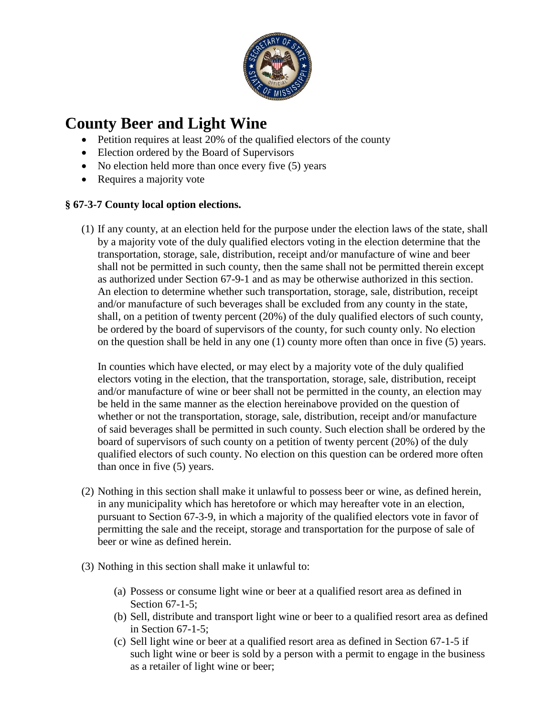

## **County Beer and Light Wine**

- Petition requires at least 20% of the qualified electors of the county
- Election ordered by the Board of Supervisors
- No election held more than once every five (5) years
- Requires a majority vote

## **§ 67-3-7 County local option elections.**

(1) If any county, at an election held for the purpose under the election laws of the state, shall by a majority vote of the duly qualified electors voting in the election determine that the transportation, storage, sale, distribution, receipt and/or manufacture of wine and beer shall not be permitted in such county, then the same shall not be permitted therein except as authorized under Section 67-9-1 and as may be otherwise authorized in this section. An election to determine whether such transportation, storage, sale, distribution, receipt and/or manufacture of such beverages shall be excluded from any county in the state, shall, on a petition of twenty percent (20%) of the duly qualified electors of such county, be ordered by the board of supervisors of the county, for such county only. No election on the question shall be held in any one (1) county more often than once in five (5) years.

In counties which have elected, or may elect by a majority vote of the duly qualified electors voting in the election, that the transportation, storage, sale, distribution, receipt and/or manufacture of wine or beer shall not be permitted in the county, an election may be held in the same manner as the election hereinabove provided on the question of whether or not the transportation, storage, sale, distribution, receipt and/or manufacture of said beverages shall be permitted in such county. Such election shall be ordered by the board of supervisors of such county on a petition of twenty percent (20%) of the duly qualified electors of such county. No election on this question can be ordered more often than once in five (5) years.

- (2) Nothing in this section shall make it unlawful to possess beer or wine, as defined herein, in any municipality which has heretofore or which may hereafter vote in an election, pursuant to Section 67-3-9, in which a majority of the qualified electors vote in favor of permitting the sale and the receipt, storage and transportation for the purpose of sale of beer or wine as defined herein.
- (3) Nothing in this section shall make it unlawful to:
	- (a) Possess or consume light wine or beer at a qualified resort area as defined in Section 67-1-5;
	- (b) Sell, distribute and transport light wine or beer to a qualified resort area as defined in Section 67-1-5;
	- (c) Sell light wine or beer at a qualified resort area as defined in Section 67-1-5 if such light wine or beer is sold by a person with a permit to engage in the business as a retailer of light wine or beer;